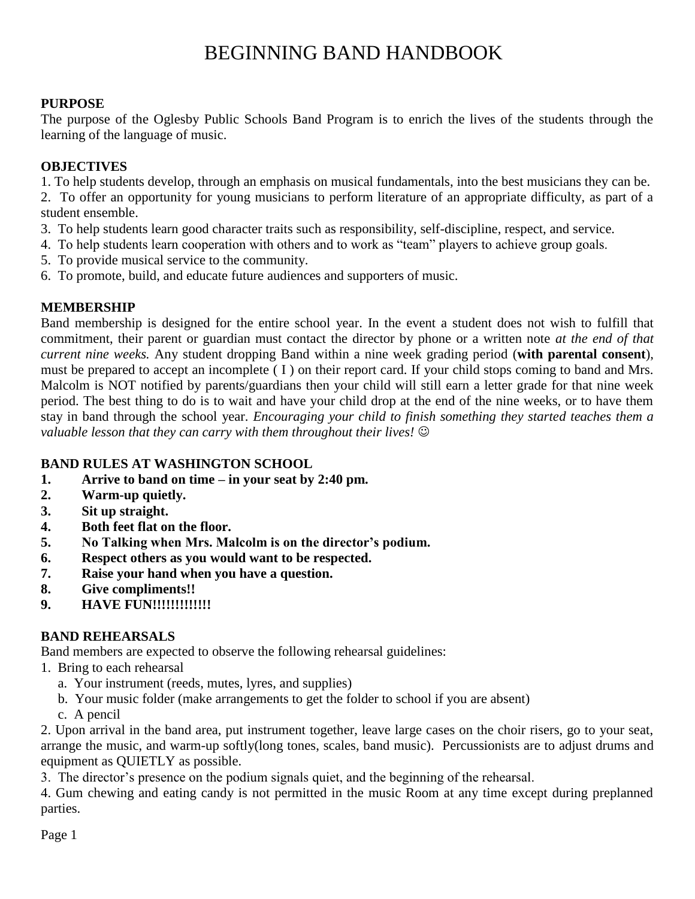#### **PURPOSE**

The purpose of the Oglesby Public Schools Band Program is to enrich the lives of the students through the learning of the language of music.

#### **OBJECTIVES**

1. To help students develop, through an emphasis on musical fundamentals, into the best musicians they can be.

2. To offer an opportunity for young musicians to perform literature of an appropriate difficulty, as part of a student ensemble.

- 3. To help students learn good character traits such as responsibility, self-discipline, respect, and service.
- 4. To help students learn cooperation with others and to work as "team" players to achieve group goals.
- 5. To provide musical service to the community.
- 6. To promote, build, and educate future audiences and supporters of music.

### **MEMBERSHIP**

Band membership is designed for the entire school year. In the event a student does not wish to fulfill that commitment, their parent or guardian must contact the director by phone or a written note *at the end of that current nine weeks.* Any student dropping Band within a nine week grading period (**with parental consent**), must be prepared to accept an incomplete ( I ) on their report card. If your child stops coming to band and Mrs. Malcolm is NOT notified by parents/guardians then your child will still earn a letter grade for that nine week period. The best thing to do is to wait and have your child drop at the end of the nine weeks, or to have them stay in band through the school year. *Encouraging your child to finish something they started teaches them a valuable lesson that they can carry with them throughout their lives!*

### **BAND RULES AT WASHINGTON SCHOOL**

- **1. Arrive to band on time – in your seat by 2:40 pm.**
- **2. Warm-up quietly.**
- **3. Sit up straight.**
- **4. Both feet flat on the floor.**
- **5. No Talking when Mrs. Malcolm is on the director's podium.**
- **6. Respect others as you would want to be respected.**
- **7. Raise your hand when you have a question.**
- **8. Give compliments!!**
- **9. HAVE FUN!!!!!!!!!!!!!**

### **BAND REHEARSALS**

Band members are expected to observe the following rehearsal guidelines:

- 1. Bring to each rehearsal
	- a. Your instrument (reeds, mutes, lyres, and supplies)
	- b. Your music folder (make arrangements to get the folder to school if you are absent)
	- c. A pencil

2. Upon arrival in the band area, put instrument together, leave large cases on the choir risers, go to your seat, arrange the music, and warm-up softly(long tones, scales, band music). Percussionists are to adjust drums and equipment as QUIETLY as possible.

3. The director's presence on the podium signals quiet, and the beginning of the rehearsal.

4. Gum chewing and eating candy is not permitted in the music Room at any time except during preplanned parties.

Page 1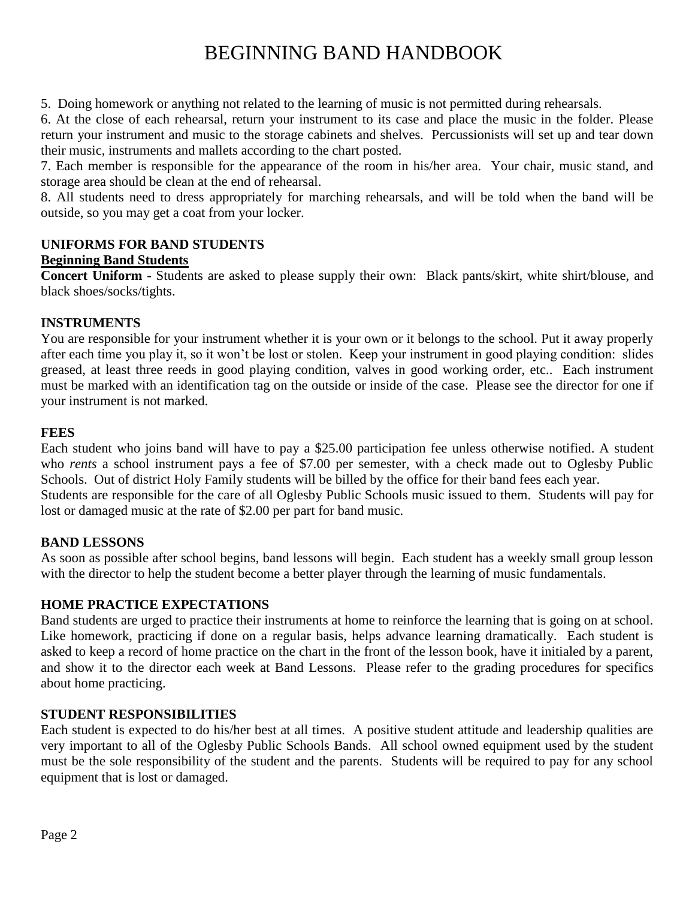5. Doing homework or anything not related to the learning of music is not permitted during rehearsals.

6. At the close of each rehearsal, return your instrument to its case and place the music in the folder. Please return your instrument and music to the storage cabinets and shelves. Percussionists will set up and tear down their music, instruments and mallets according to the chart posted.

7. Each member is responsible for the appearance of the room in his/her area. Your chair, music stand, and storage area should be clean at the end of rehearsal.

8. All students need to dress appropriately for marching rehearsals, and will be told when the band will be outside, so you may get a coat from your locker.

### **UNIFORMS FOR BAND STUDENTS**

#### **Beginning Band Students**

**Concert Uniform** - Students are asked to please supply their own: Black pants/skirt, white shirt/blouse, and black shoes/socks/tights.

#### **INSTRUMENTS**

You are responsible for your instrument whether it is your own or it belongs to the school. Put it away properly after each time you play it, so it won't be lost or stolen. Keep your instrument in good playing condition: slides greased, at least three reeds in good playing condition, valves in good working order, etc.. Each instrument must be marked with an identification tag on the outside or inside of the case. Please see the director for one if your instrument is not marked.

#### **FEES**

Each student who joins band will have to pay a \$25.00 participation fee unless otherwise notified. A student who *rents* a school instrument pays a fee of \$7.00 per semester, with a check made out to Oglesby Public Schools. Out of district Holy Family students will be billed by the office for their band fees each year. Students are responsible for the care of all Oglesby Public Schools music issued to them. Students will pay for lost or damaged music at the rate of \$2.00 per part for band music.

#### **BAND LESSONS**

As soon as possible after school begins, band lessons will begin. Each student has a weekly small group lesson with the director to help the student become a better player through the learning of music fundamentals.

#### **HOME PRACTICE EXPECTATIONS**

Band students are urged to practice their instruments at home to reinforce the learning that is going on at school. Like homework, practicing if done on a regular basis, helps advance learning dramatically. Each student is asked to keep a record of home practice on the chart in the front of the lesson book, have it initialed by a parent, and show it to the director each week at Band Lessons. Please refer to the grading procedures for specifics about home practicing.

#### **STUDENT RESPONSIBILITIES**

Each student is expected to do his/her best at all times. A positive student attitude and leadership qualities are very important to all of the Oglesby Public Schools Bands. All school owned equipment used by the student must be the sole responsibility of the student and the parents. Students will be required to pay for any school equipment that is lost or damaged.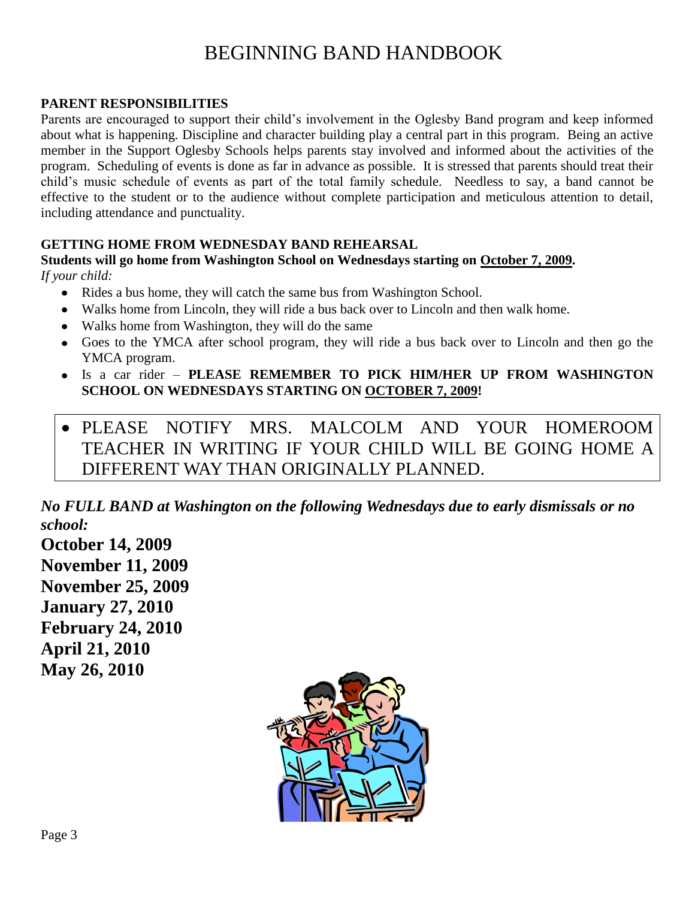#### **PARENT RESPONSIBILITIES**

Parents are encouraged to support their child's involvement in the Oglesby Band program and keep informed about what is happening. Discipline and character building play a central part in this program. Being an active member in the Support Oglesby Schools helps parents stay involved and informed about the activities of the program. Scheduling of events is done as far in advance as possible. It is stressed that parents should treat their child's music schedule of events as part of the total family schedule. Needless to say, a band cannot be effective to the student or to the audience without complete participation and meticulous attention to detail, including attendance and punctuality.

#### **GETTING HOME FROM WEDNESDAY BAND REHEARSAL**

**Students will go home from Washington School on Wednesdays starting on October 7, 2009.**  *If your child:*

- Rides a bus home, they will catch the same bus from Washington School.
- Walks home from Lincoln, they will ride a bus back over to Lincoln and then walk home.
- Walks home from Washington, they will do the same
- Goes to the YMCA after school program, they will ride a bus back over to Lincoln and then go the YMCA program.
- Is a car rider **PLEASE REMEMBER TO PICK HIM/HER UP FROM WASHINGTON SCHOOL ON WEDNESDAYS STARTING ON OCTOBER 7, 2009!**
- PLEASE NOTIFY MRS. MALCOLM AND YOUR HOMEROOM TEACHER IN WRITING IF YOUR CHILD WILL BE GOING HOME A DIFFERENT WAY THAN ORIGINALLY PLANNED.

*No FULL BAND at Washington on the following Wednesdays due to early dismissals or no school:*

**October 14, 2009 November 11, 2009 November 25, 2009 January 27, 2010 February 24, 2010 April 21, 2010 May 26, 2010**

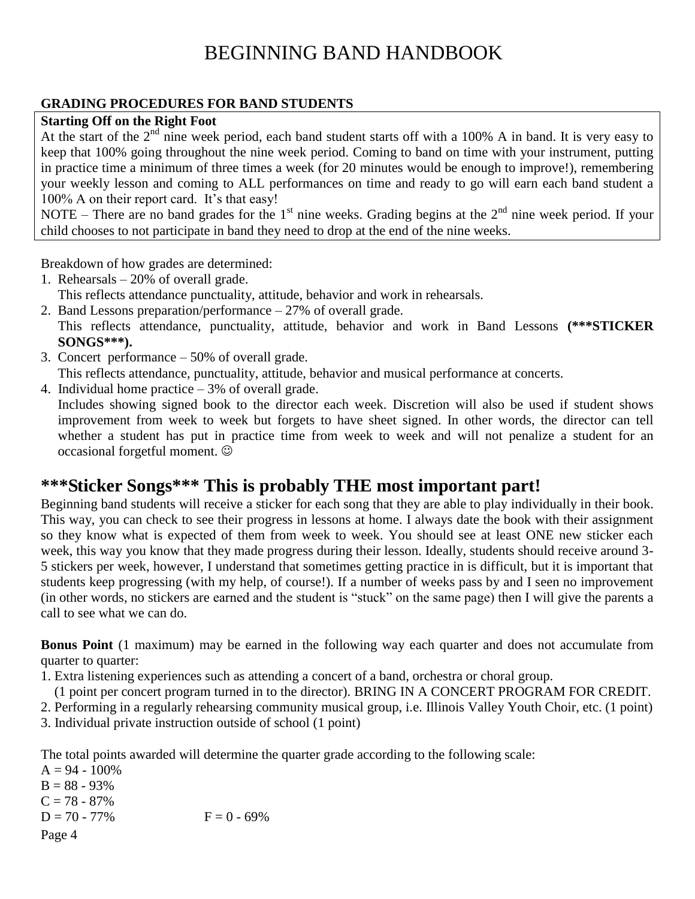### **GRADING PROCEDURES FOR BAND STUDENTS**

#### **Starting Off on the Right Foot**

At the start of the 2<sup>nd</sup> nine week period, each band student starts off with a 100% A in band. It is very easy to keep that 100% going throughout the nine week period. Coming to band on time with your instrument, putting in practice time a minimum of three times a week (for 20 minutes would be enough to improve!), remembering your weekly lesson and coming to ALL performances on time and ready to go will earn each band student a 100% A on their report card. It's that easy!

NOTE – There are no band grades for the  $1<sup>st</sup>$  nine weeks. Grading begins at the  $2<sup>nd</sup>$  nine week period. If your child chooses to not participate in band they need to drop at the end of the nine weeks.

Breakdown of how grades are determined:

- 1. Rehearsals 20% of overall grade.
- This reflects attendance punctuality, attitude, behavior and work in rehearsals.
- 2. Band Lessons preparation/performance 27% of overall grade. This reflects attendance, punctuality, attitude, behavior and work in Band Lessons **(\*\*\*STICKER SONGS\*\*\*).**
- 3. Concert performance 50% of overall grade.
- This reflects attendance, punctuality, attitude, behavior and musical performance at concerts.

4. Individual home practice – 3% of overall grade. Includes showing signed book to the director each week. Discretion will also be used if student shows improvement from week to week but forgets to have sheet signed. In other words, the director can tell whether a student has put in practice time from week to week and will not penalize a student for an occasional forgetful moment.

## **\*\*\*Sticker Songs\*\*\* This is probably THE most important part!**

Beginning band students will receive a sticker for each song that they are able to play individually in their book. This way, you can check to see their progress in lessons at home. I always date the book with their assignment so they know what is expected of them from week to week. You should see at least ONE new sticker each week, this way you know that they made progress during their lesson. Ideally, students should receive around 3- 5 stickers per week, however, I understand that sometimes getting practice in is difficult, but it is important that students keep progressing (with my help, of course!). If a number of weeks pass by and I seen no improvement (in other words, no stickers are earned and the student is "stuck" on the same page) then I will give the parents a call to see what we can do.

**Bonus Point** (1 maximum) may be earned in the following way each quarter and does not accumulate from quarter to quarter:

1. Extra listening experiences such as attending a concert of a band, orchestra or choral group.

(1 point per concert program turned in to the director). BRING IN A CONCERT PROGRAM FOR CREDIT.

2. Performing in a regularly rehearsing community musical group, i.e. Illinois Valley Youth Choir, etc. (1 point)

3. Individual private instruction outside of school (1 point)

The total points awarded will determine the quarter grade according to the following scale:

Page 4  $A = 94 - 100\%$  $B = 88 - 93%$  $C = 78 - 87\%$  $D = 70 - 77\%$  F = 0 - 69%